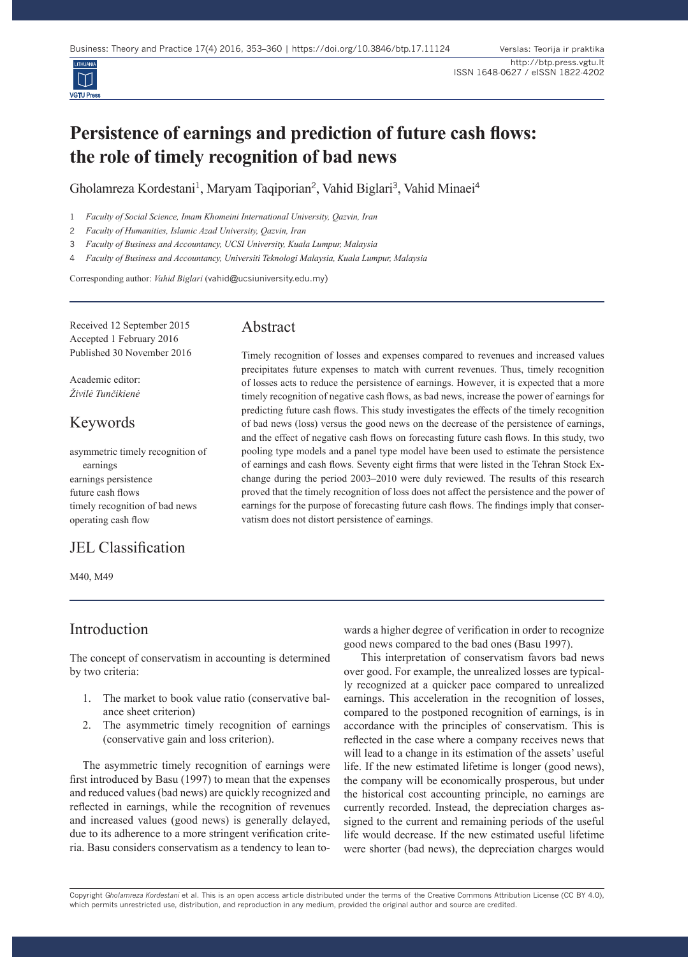

# **Persistence of earnings and prediction of future cash flows: the role of timely recognition of bad news**

Gholamreza Kordestani<sup>1</sup>, Maryam Taqiporian<sup>2</sup>, Vahid Biglari<sup>3</sup>, Vahid Minaei<sup>4</sup>

1 *Faculty of Social Science, Imam Khomeini International University, Qazvin, Iran*

2 *Faculty of Humanities, Islamic Azad University, Qazvin, Iran*

3 *Faculty of Business and Accountancy, UCSI University, Kuala Lumpur, Malaysia*

4 *Faculty of Business and Accountancy, Universiti Teknologi Malaysia, Kuala Lumpur, Malaysia*

Corresponding author: *Vahid Biglari* (vahid@ucsiuniversity.edu.my)

Received 12 September 2015 Accepted 1 February 2016 Published 30 November 2016

Academic editor: *Živilė Tunčikienė*

## Keywords

asymmetric timely recognition of earnings earnings persistence future cash flows timely recognition of bad news operating cash flow

# JEL Classification

M40, M49

# Abstract

Timely recognition of losses and expenses compared to revenues and increased values precipitates future expenses to match with current revenues. Thus, timely recognition of losses acts to reduce the persistence of earnings. However, it is expected that a more timely recognition of negative cash flows, as bad news, increase the power of earnings for predicting future cash flows. This study investigates the effects of the timely recognition of bad news (loss) versus the good news on the decrease of the persistence of earnings, and the effect of negative cash flows on forecasting future cash flows. In this study, two pooling type models and a panel type model have been used to estimate the persistence of earnings and cash flows. Seventy eight firms that were listed in the Tehran Stock Exchange during the period 2003–2010 were duly reviewed. The results of this research proved that the timely recognition of loss does not affect the persistence and the power of earnings for the purpose of forecasting future cash flows. The findings imply that conservatism does not distort persistence of earnings.

### Introduction

The concept of conservatism in accounting is determined by two criteria:

- 1. The market to book value ratio (conservative balance sheet criterion)
- 2. The asymmetric timely recognition of earnings (conservative gain and loss criterion).

The asymmetric timely recognition of earnings were first introduced by Basu (1997) to mean that the expenses and reduced values (bad news) are quickly recognized and reflected in earnings, while the recognition of revenues and increased values (good news) is generally delayed, due to its adherence to a more stringent verification criteria. Basu considers conservatism as a tendency to lean towards a higher degree of verification in order to recognize good news compared to the bad ones (Basu 1997).

 This interpretation of conservatism favors bad news over good. For example, the unrealized losses are typically recognized at a quicker pace compared to unrealized earnings. This acceleration in the recognition of losses, compared to the postponed recognition of earnings, is in accordance with the principles of conservatism. This is reflected in the case where a company receives news that will lead to a change in its estimation of the assets' useful life. If the new estimated lifetime is longer (good news), the company will be economically prosperous, but under the historical cost accounting principle, no earnings are currently recorded. Instead, the depreciation charges assigned to the current and remaining periods of the useful life would decrease. If the new estimated useful lifetime were shorter (bad news), the depreciation charges would

Copyright *Gholamreza Kordestani* et al. This is an open access article distributed under the terms of the Creative Commons Attribution License (CC BY 4.0), which permits unrestricted use, distribution, and reproduction in any medium, provided the original author and source are credited.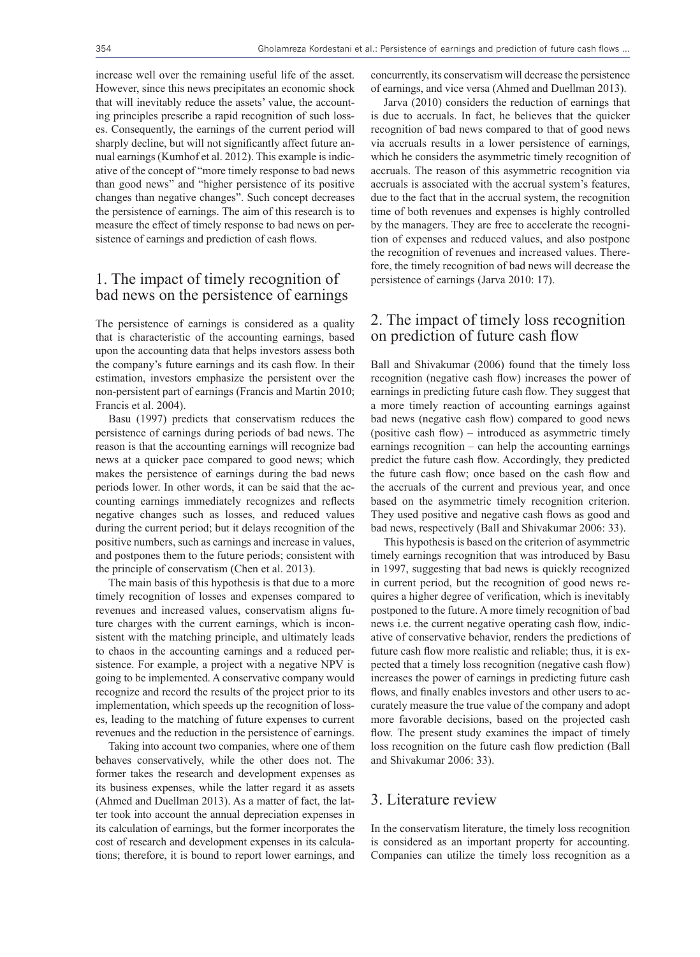increase well over the remaining useful life of the asset. However, since this news precipitates an economic shock that will inevitably reduce the assets' value, the accounting principles prescribe a rapid recognition of such losses. Consequently, the earnings of the current period will sharply decline, but will not significantly affect future annual earnings (Kumhof et al. 2012). This example is indicative of the concept of "more timely response to bad news than good news" and "higher persistence of its positive changes than negative changes". Such concept decreases the persistence of earnings. The aim of this research is to measure the effect of timely response to bad news on persistence of earnings and prediction of cash flows.

#### 1. The impact of timely recognition of bad news on the persistence of earnings

The persistence of earnings is considered as a quality that is characteristic of the accounting earnings, based upon the accounting data that helps investors assess both the company's future earnings and its cash flow. In their estimation, investors emphasize the persistent over the non-persistent part of earnings (Francis and Martin 2010; Francis et al. 2004).

Basu (1997) predicts that conservatism reduces the persistence of earnings during periods of bad news. The reason is that the accounting earnings will recognize bad news at a quicker pace compared to good news; which makes the persistence of earnings during the bad news periods lower. In other words, it can be said that the accounting earnings immediately recognizes and reflects negative changes such as losses, and reduced values during the current period; but it delays recognition of the positive numbers, such as earnings and increase in values, and postpones them to the future periods; consistent with the principle of conservatism (Chen et al. 2013).

The main basis of this hypothesis is that due to a more timely recognition of losses and expenses compared to revenues and increased values, conservatism aligns future charges with the current earnings, which is inconsistent with the matching principle, and ultimately leads to chaos in the accounting earnings and a reduced persistence. For example, a project with a negative NPV is going to be implemented. A conservative company would recognize and record the results of the project prior to its implementation, which speeds up the recognition of losses, leading to the matching of future expenses to current revenues and the reduction in the persistence of earnings.

Taking into account two companies, where one of them behaves conservatively, while the other does not. The former takes the research and development expenses as its business expenses, while the latter regard it as assets (Ahmed and Duellman 2013). As a matter of fact, the latter took into account the annual depreciation expenses in its calculation of earnings, but the former incorporates the cost of research and development expenses in its calculations; therefore, it is bound to report lower earnings, and

concurrently, its conservatism will decrease the persistence of earnings, and vice versa (Ahmed and Duellman 2013).

Jarva (2010) considers the reduction of earnings that is due to accruals. In fact, he believes that the quicker recognition of bad news compared to that of good news via accruals results in a lower persistence of earnings, which he considers the asymmetric timely recognition of accruals. The reason of this asymmetric recognition via accruals is associated with the accrual system's features, due to the fact that in the accrual system, the recognition time of both revenues and expenses is highly controlled by the managers. They are free to accelerate the recognition of expenses and reduced values, and also postpone the recognition of revenues and increased values. Therefore, the timely recognition of bad news will decrease the persistence of earnings (Jarva 2010: 17).

#### 2. The impact of timely loss recognition on prediction of future cash flow

Ball and Shivakumar (2006) found that the timely loss recognition (negative cash flow) increases the power of earnings in predicting future cash flow. They suggest that a more timely reaction of accounting earnings against bad news (negative cash flow) compared to good news (positive cash flow) – introduced as asymmetric timely earnings recognition – can help the accounting earnings predict the future cash flow. Accordingly, they predicted the future cash flow; once based on the cash flow and the accruals of the current and previous year, and once based on the asymmetric timely recognition criterion. They used positive and negative cash flows as good and bad news, respectively (Ball and Shivakumar 2006: 33).

This hypothesis is based on the criterion of asymmetric timely earnings recognition that was introduced by Basu in 1997, suggesting that bad news is quickly recognized in current period, but the recognition of good news requires a higher degree of verification, which is inevitably postponed to the future. A more timely recognition of bad news i.e. the current negative operating cash flow, indicative of conservative behavior, renders the predictions of future cash flow more realistic and reliable; thus, it is expected that a timely loss recognition (negative cash flow) increases the power of earnings in predicting future cash flows, and finally enables investors and other users to accurately measure the true value of the company and adopt more favorable decisions, based on the projected cash flow. The present study examines the impact of timely loss recognition on the future cash flow prediction (Ball and Shivakumar 2006: 33).

#### 3. Literature review

In the conservatism literature, the timely loss recognition is considered as an important property for accounting. Companies can utilize the timely loss recognition as a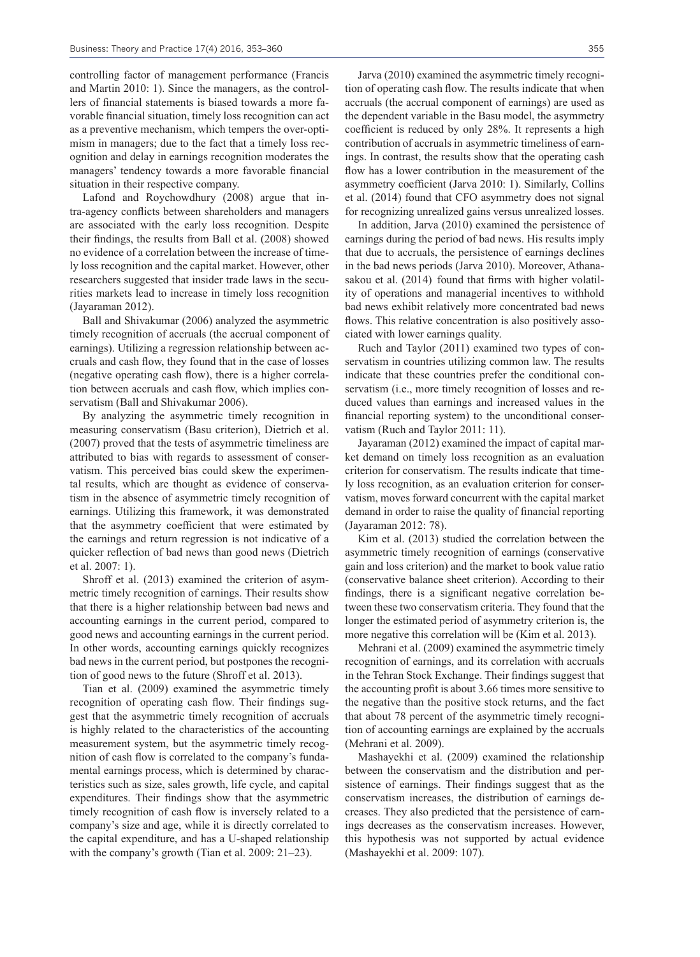controlling factor of management performance (Francis and Martin 2010: 1). Since the managers, as the controllers of financial statements is biased towards a more favorable financial situation, timely loss recognition can act as a preventive mechanism, which tempers the over-optimism in managers; due to the fact that a timely loss recognition and delay in earnings recognition moderates the managers' tendency towards a more favorable financial situation in their respective company.

Lafond and Roychowdhury (2008) argue that intra-agency conflicts between shareholders and managers are associated with the early loss recognition. Despite their findings, the results from Ball et al. (2008) showed no evidence of a correlation between the increase of timely loss recognition and the capital market. However, other researchers suggested that insider trade laws in the securities markets lead to increase in timely loss recognition (Jayaraman 2012).

Ball and Shivakumar (2006) analyzed the asymmetric timely recognition of accruals (the accrual component of earnings). Utilizing a regression relationship between accruals and cash flow, they found that in the case of losses (negative operating cash flow), there is a higher correlation between accruals and cash flow, which implies conservatism (Ball and Shivakumar 2006).

By analyzing the asymmetric timely recognition in measuring conservatism (Basu criterion), Dietrich et al. (2007) proved that the tests of asymmetric timeliness are attributed to bias with regards to assessment of conservatism. This perceived bias could skew the experimental results, which are thought as evidence of conservatism in the absence of asymmetric timely recognition of earnings. Utilizing this framework, it was demonstrated that the asymmetry coefficient that were estimated by the earnings and return regression is not indicative of a quicker reflection of bad news than good news (Dietrich et al. 2007: 1).

Shroff et al. (2013) examined the criterion of asymmetric timely recognition of earnings. Their results show that there is a higher relationship between bad news and accounting earnings in the current period, compared to good news and accounting earnings in the current period. In other words, accounting earnings quickly recognizes bad news in the current period, but postpones the recognition of good news to the future (Shroff et al. 2013).

Tian et al. (2009) examined the asymmetric timely recognition of operating cash flow. Their findings suggest that the asymmetric timely recognition of accruals is highly related to the characteristics of the accounting measurement system, but the asymmetric timely recognition of cash flow is correlated to the company's fundamental earnings process, which is determined by characteristics such as size, sales growth, life cycle, and capital expenditures. Their findings show that the asymmetric timely recognition of cash flow is inversely related to a company's size and age, while it is directly correlated to the capital expenditure, and has a U-shaped relationship with the company's growth (Tian et al. 2009: 21–23).

Jarva (2010) examined the asymmetric timely recognition of operating cash flow. The results indicate that when accruals (the accrual component of earnings) are used as the dependent variable in the Basu model, the asymmetry coefficient is reduced by only 28%. It represents a high contribution of accruals in asymmetric timeliness of earnings. In contrast, the results show that the operating cash flow has a lower contribution in the measurement of the asymmetry coefficient (Jarva 2010: 1). Similarly, Collins et al. (2014) found that CFO asymmetry does not signal for recognizing unrealized gains versus unrealized losses.

In addition, Jarva (2010) examined the persistence of earnings during the period of bad news. His results imply that due to accruals, the persistence of earnings declines in the bad news periods (Jarva 2010). Moreover, Athanasakou et al. (2014) found that firms with higher volatility of operations and managerial incentives to withhold bad news exhibit relatively more concentrated bad news flows. This relative concentration is also positively associated with lower earnings quality.

Ruch and Taylor (2011) examined two types of conservatism in countries utilizing common law. The results indicate that these countries prefer the conditional conservatism (i.e., more timely recognition of losses and reduced values than earnings and increased values in the financial reporting system) to the unconditional conservatism (Ruch and Taylor 2011: 11).

Jayaraman (2012) examined the impact of capital market demand on timely loss recognition as an evaluation criterion for conservatism. The results indicate that timely loss recognition, as an evaluation criterion for conservatism, moves forward concurrent with the capital market demand in order to raise the quality of financial reporting (Jayaraman 2012: 78).

Kim et al. (2013) studied the correlation between the asymmetric timely recognition of earnings (conservative gain and loss criterion) and the market to book value ratio (conservative balance sheet criterion). According to their findings, there is a significant negative correlation between these two conservatism criteria. They found that the longer the estimated period of asymmetry criterion is, the more negative this correlation will be (Kim et al. 2013).

Mehrani et al. (2009) examined the asymmetric timely recognition of earnings, and its correlation with accruals in the Tehran Stock Exchange. Their findings suggest that the accounting profit is about 3.66 times more sensitive to the negative than the positive stock returns, and the fact that about 78 percent of the asymmetric timely recognition of accounting earnings are explained by the accruals (Mehrani et al. 2009).

Mashayekhi et al. (2009) examined the relationship between the conservatism and the distribution and persistence of earnings. Their findings suggest that as the conservatism increases, the distribution of earnings decreases. They also predicted that the persistence of earnings decreases as the conservatism increases. However, this hypothesis was not supported by actual evidence (Mashayekhi et al. 2009: 107).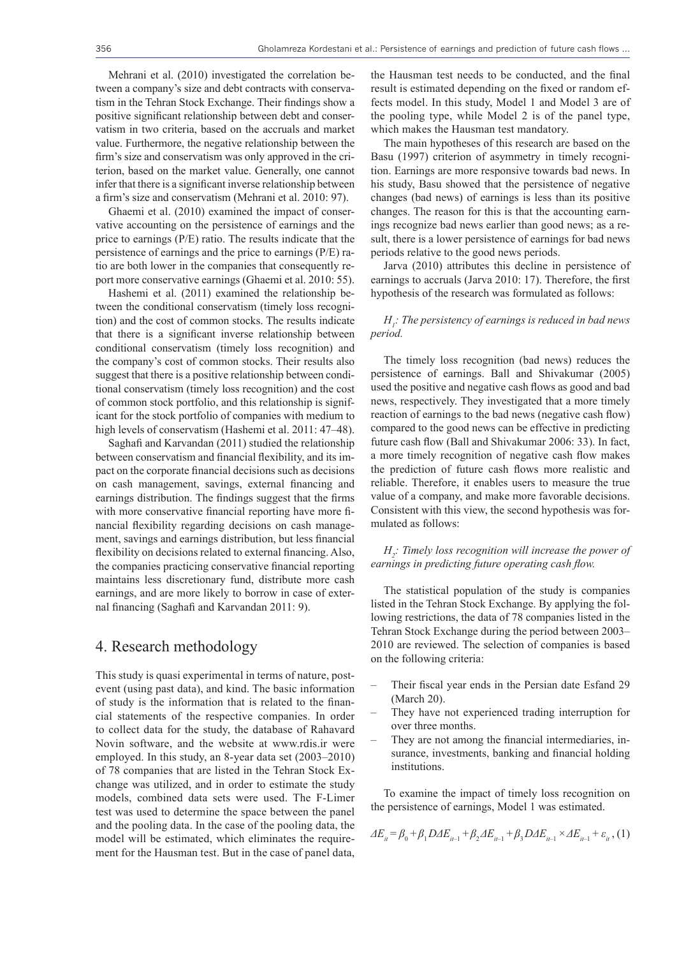Mehrani et al. (2010) investigated the correlation between a company's size and debt contracts with conservatism in the Tehran Stock Exchange. Their findings show a positive significant relationship between debt and conservatism in two criteria, based on the accruals and market value. Furthermore, the negative relationship between the firm's size and conservatism was only approved in the criterion, based on the market value. Generally, one cannot infer that there is a significant inverse relationship between a firm's size and conservatism (Mehrani et al. 2010: 97).

Ghaemi et al. (2010) examined the impact of conservative accounting on the persistence of earnings and the price to earnings (P/E) ratio. The results indicate that the persistence of earnings and the price to earnings (P/E) ratio are both lower in the companies that consequently report more conservative earnings (Ghaemi et al. 2010: 55).

Hashemi et al. (2011) examined the relationship between the conditional conservatism (timely loss recognition) and the cost of common stocks. The results indicate that there is a significant inverse relationship between conditional conservatism (timely loss recognition) and the company's cost of common stocks. Their results also suggest that there is a positive relationship between conditional conservatism (timely loss recognition) and the cost of common stock portfolio, and this relationship is significant for the stock portfolio of companies with medium to high levels of conservatism (Hashemi et al. 2011: 47–48).

Saghafi and Karvandan (2011) studied the relationship between conservatism and financial flexibility, and its impact on the corporate financial decisions such as decisions on cash management, savings, external financing and earnings distribution. The findings suggest that the firms with more conservative financial reporting have more financial flexibility regarding decisions on cash management, savings and earnings distribution, but less financial flexibility on decisions related to external financing. Also, the companies practicing conservative financial reporting maintains less discretionary fund, distribute more cash earnings, and are more likely to borrow in case of external financing (Saghafi and Karvandan 2011: 9).

#### 4. Research methodology

This study is quasi experimental in terms of nature, postevent (using past data), and kind. The basic information of study is the information that is related to the financial statements of the respective companies. In order to collect data for the study, the database of Rahavard Novin software, and the website at www.rdis.ir were employed. In this study, an 8-year data set (2003–2010) of 78 companies that are listed in the Tehran Stock Exchange was utilized, and in order to estimate the study models, combined data sets were used. The F-Limer test was used to determine the space between the panel and the pooling data. In the case of the pooling data, the model will be estimated, which eliminates the requirement for the Hausman test. But in the case of panel data,

the Hausman test needs to be conducted, and the final result is estimated depending on the fixed or random effects model. In this study, Model 1 and Model 3 are of the pooling type, while Model 2 is of the panel type, which makes the Hausman test mandatory.

The main hypotheses of this research are based on the Basu (1997) criterion of asymmetry in timely recognition. Earnings are more responsive towards bad news. In his study, Basu showed that the persistence of negative changes (bad news) of earnings is less than its positive changes. The reason for this is that the accounting earnings recognize bad news earlier than good news; as a result, there is a lower persistence of earnings for bad news periods relative to the good news periods.

Jarva (2010) attributes this decline in persistence of earnings to accruals (Jarva 2010: 17). Therefore, the first hypothesis of the research was formulated as follows:

#### *H1 : The persistency of earnings is reduced in bad news period.*

The timely loss recognition (bad news) reduces the persistence of earnings. Ball and Shivakumar (2005) used the positive and negative cash flows as good and bad news, respectively. They investigated that a more timely reaction of earnings to the bad news (negative cash flow) compared to the good news can be effective in predicting future cash flow (Ball and Shivakumar 2006: 33). In fact, a more timely recognition of negative cash flow makes the prediction of future cash flows more realistic and reliable. Therefore, it enables users to measure the true value of a company, and make more favorable decisions. Consistent with this view, the second hypothesis was formulated as follows:

*H2 : Timely loss recognition will increase the power of earnings in predicting future operating cash flow.*

The statistical population of the study is companies listed in the Tehran Stock Exchange. By applying the following restrictions, the data of 78 companies listed in the Tehran Stock Exchange during the period between 2003– 2010 are reviewed. The selection of companies is based on the following criteria:

- Their fiscal year ends in the Persian date Esfand 29 (March 20).
- They have not experienced trading interruption for over three months.
- They are not among the financial intermediaries, insurance, investments, banking and financial holding institutions.

To examine the impact of timely loss recognition on the persistence of earnings, Model 1 was estimated.

$$
\Delta E_{it} = \beta_0 + \beta_1 D \Delta E_{it-1} + \beta_2 \Delta E_{it-1} + \beta_3 D \Delta E_{it-1} \times \Delta E_{it-1} + \varepsilon_{it} \tag{1}
$$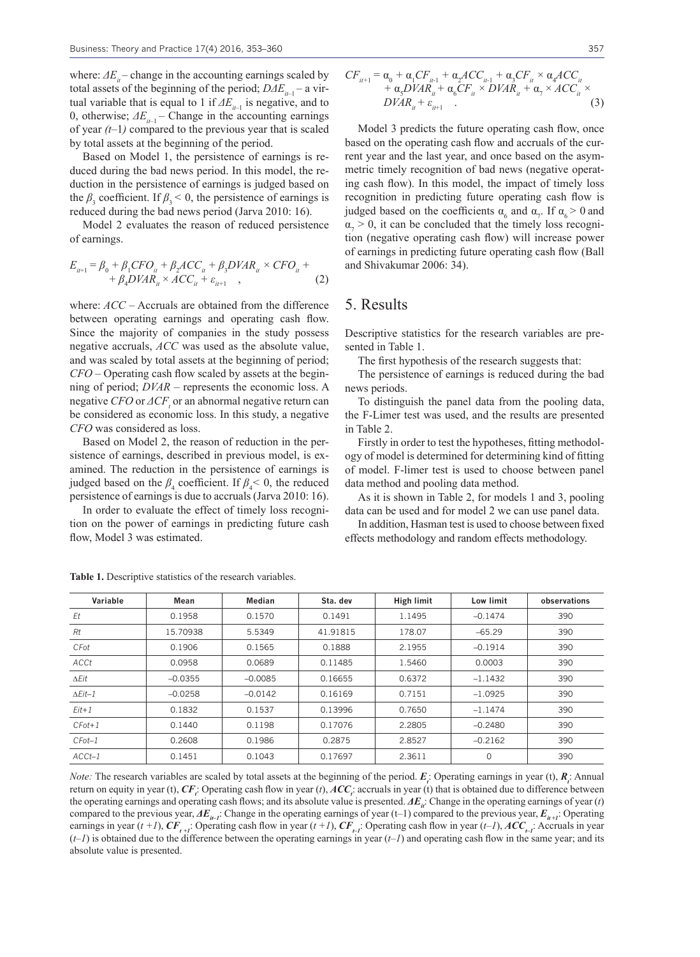where:  $\Delta E_i$  – change in the accounting earnings scaled by total assets of the beginning of the period; *DΔE<sub>it-1</sub>* – a virtual variable that is equal to 1 if  $\Delta E$ <sub>*it-1</sub>* is negative, and to</sub> 0, otherwise;  $\Delta E_{i-1}$  – Change in the accounting earnings of year *(t–*1*)* compared to the previous year that is scaled by total assets at the beginning of the period.

Based on Model 1, the persistence of earnings is reduced during the bad news period. In this model, the reduction in the persistence of earnings is judged based on the  $\beta_3$  coefficient. If  $\beta_3 < 0$ , the persistence of earnings is reduced during the bad news period (Jarva 2010: 16).

Model 2 evaluates the reason of reduced persistence of earnings.

$$
E_{ii+1} = \beta_0 + \beta_1 CFO_{ii} + \beta_2 ACC_{ii} + \beta_3 DVAR_{ii} \times CFO_{ii} + + \beta_4 DVAR_{ii} \times ACC_{ii} + \varepsilon_{ii+1} ,
$$
 (2)

where: *ACC* – Accruals are obtained from the difference between operating earnings and operating cash flow. Since the majority of companies in the study possess negative accruals, *ACC* was used as the absolute value, and was scaled by total assets at the beginning of period; *CFO* – Operating cash flow scaled by assets at the beginning of period; *DVAR* – represents the economic loss. A negative *CFO* or *ΔCF<sup>t</sup>* or an abnormal negative return can be considered as economic loss. In this study, a negative *CFO* was considered as loss.

Based on Model 2, the reason of reduction in the persistence of earnings, described in previous model, is examined. The reduction in the persistence of earnings is judged based on the  $\beta_4$  coefficient. If  $\beta_4 < 0$ , the reduced persistence of earnings is due to accruals (Jarva 2010: 16).

In order to evaluate the effect of timely loss recognition on the power of earnings in predicting future cash flow, Model 3 was estimated.

$$
CF_{u+1} = \alpha_0 + \alpha_1 CF_{u-1} + \alpha_2 ACC_{u-1} + \alpha_3 CF_u \times \alpha_4 ACC_u + \alpha_5 DVAR_u + \alpha_6 CF_u \times DVAR_u + \alpha_7 \times ACC_u \times
$$
  

$$
DVAR_u + \varepsilon_{u+1}
$$
 (3)

Model 3 predicts the future operating cash flow, once based on the operating cash flow and accruals of the current year and the last year, and once based on the asymmetric timely recognition of bad news (negative operating cash flow). In this model, the impact of timely loss recognition in predicting future operating cash flow is judged based on the coefficients  $\alpha_6$  and  $\alpha_7$ . If  $\alpha_6 > 0$  and  $\alpha_7 > 0$ , it can be concluded that the timely loss recognition (negative operating cash flow) will increase power of earnings in predicting future operating cash flow (Ball and Shivakumar 2006: 34).

#### 5. Results

Descriptive statistics for the research variables are presented in Table 1.

The first hypothesis of the research suggests that:

The persistence of earnings is reduced during the bad news periods.

To distinguish the panel data from the pooling data, the F-Limer test was used, and the results are presented in Table 2.

Firstly in order to test the hypotheses, fitting methodology of model is determined for determining kind of fitting of model. F-limer test is used to choose between panel data method and pooling data method.

As it is shown in Table 2, for models 1 and 3, pooling data can be used and for model 2 we can use panel data.

In addition, Hasman test is used to choose between fixed effects methodology and random effects methodology.

| Variable       | Mean      | Median    | Sta. dev | High limit | Low limit | observations |
|----------------|-----------|-----------|----------|------------|-----------|--------------|
| Et             | 0.1958    | 0.1570    | 0.1491   | 1.1495     | $-0.1474$ | 390          |
| Rt             | 15.70938  | 5.5349    | 41.91815 | 178.07     | $-65.29$  | 390          |
| CFot           | 0.1906    | 0.1565    | 0.1888   | 2.1955     | $-0.1914$ | 390          |
| ACCt           | 0.0958    | 0.0689    | 0.11485  | 1.5460     | 0.0003    | 390          |
| $\Delta Eit$   | $-0.0355$ | $-0.0085$ | 0.16655  | 0.6372     | $-1.1432$ | 390          |
| $\Delta Eit-1$ | $-0.0258$ | $-0.0142$ | 0.16169  | 0.7151     | $-1.0925$ | 390          |
| $Eit+1$        | 0.1832    | 0.1537    | 0.13996  | 0.7650     | $-1.1474$ | 390          |
| $CFot+1$       | 0.1440    | 0.1198    | 0.17076  | 2.2805     | $-0.2480$ | 390          |
| $CFot-1$       | 0.2608    | 0.1986    | 0.2875   | 2.8527     | $-0.2162$ | 390          |
| $ACCt-1$       | 0.1451    | 0.1043    | 0.17697  | 2.3611     | 0         | 390          |

Table 1. Descriptive statistics of the research variables.

*Note:* The research variables are scaled by total assets at the beginning of the period.  $E_i$ : Operating earnings in year (t),  $R_i$ : Annual return on equity in year (t),  $CF$ . Operating cash flow in year (t),  $ACC$ , accruals in year (t) that is obtained due to difference between the operating earnings and operating cash flows; and its absolute value is presented.  $\Delta E_i$ : Change in the operating earnings of year (*t*) compared to the previous year,  $\Delta E_{i}$ . Change in the operating earnings of year (t–1) compared to the previous year,  $E_{i}$ , Operating earnings in year ( $t +1$ ),  $CF_{t-1}$ : Operating cash flow in year ( $t+1$ ),  $CF_{t-1}$ : Operating cash flow in year ( $t-1$ ),  $ACC_{t-1}$ : Accruals in year  $(t-1)$  is obtained due to the difference between the operating earnings in year  $(t-1)$  and operating cash flow in the same year; and its absolute value is presented.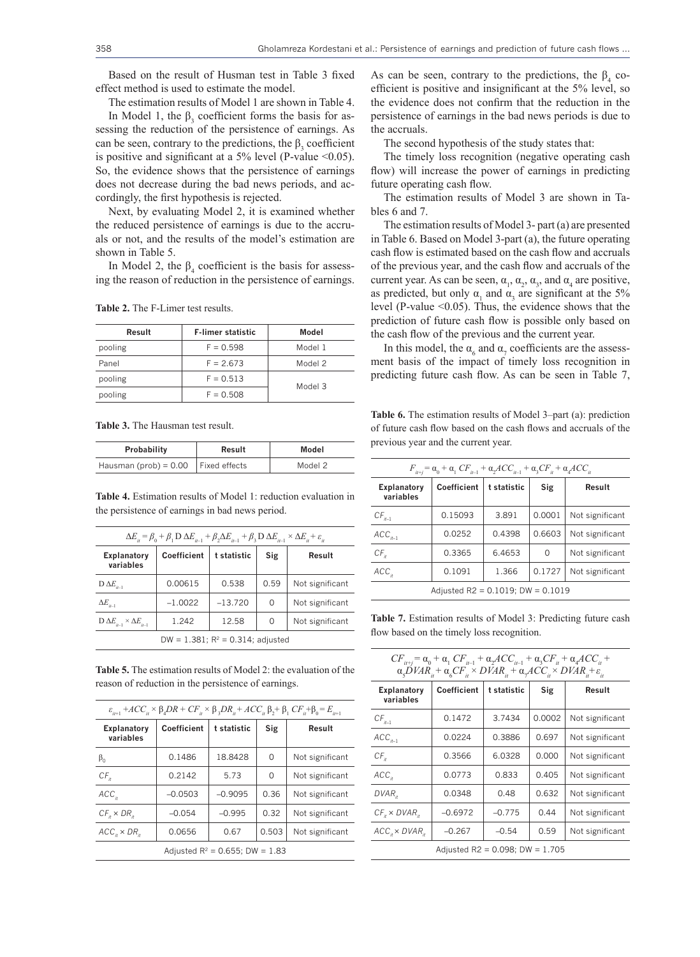Based on the result of Husman test in Table 3 fixed effect method is used to estimate the model.

The estimation results of Model 1 are shown in Table 4.

In Model 1, the  $\beta_3$  coefficient forms the basis for assessing the reduction of the persistence of earnings. As can be seen, contrary to the predictions, the  $\beta_3$  coefficient is positive and significant at a  $5\%$  level (P-value <0.05). So, the evidence shows that the persistence of earnings does not decrease during the bad news periods, and accordingly, the first hypothesis is rejected.

Next, by evaluating Model 2, it is examined whether the reduced persistence of earnings is due to the accruals or not, and the results of the model's estimation are shown in Table 5.

In Model 2, the  $\beta_4$  coefficient is the basis for assessing the reason of reduction in the persistence of earnings.

| Result  | <b>F-limer statistic</b> | Model   |  |
|---------|--------------------------|---------|--|
| pooling | $F = 0.598$              | Model 1 |  |
| Panel   | $F = 2.673$              | Model 2 |  |
| pooling | $F = 0.513$              |         |  |
| pooling | $F = 0.508$              | Model 3 |  |

**Table 2.** The F-Limer test results.

**Table 3.** The Hausman test result.

| Probability                             | Result | Model   |  |
|-----------------------------------------|--------|---------|--|
| Hausman (prob) = $0.00$   Fixed effects |        | Model 2 |  |

**Table 4.** Estimation results of Model 1: reduction evaluation in the persistence of earnings in bad news period.

| $\Delta E_{ii} = \beta_0 + \beta_1 D \Delta E_{ii} + \beta_2 \Delta E_{ii} + \beta_3 D \Delta E_{ii} \times \Delta E_{ii} + \varepsilon_{ii}$ |             |             |      |                 |  |
|-----------------------------------------------------------------------------------------------------------------------------------------------|-------------|-------------|------|-----------------|--|
| Explanatory<br>variables                                                                                                                      | Coefficient | t statistic | Sig  | Result          |  |
| $D \Delta E_{i-1}$                                                                                                                            | 0.00615     | 0.538       | 0.59 | Not significant |  |
| $\Delta E_{i-1}$                                                                                                                              | $-1.0022$   | $-13.720$   | O    | Not significant |  |
| $D \Delta E_{i-1} \times \Delta E_{i-1}$                                                                                                      | 1.242       | 12.58       | 0    | Not significant |  |
| DW = $1.381$ ; $R^2 = 0.314$ ; adjusted                                                                                                       |             |             |      |                 |  |

**Table 5.** The estimation results of Model 2: the evaluation of the reason of reduction in the persistence of earnings.

| $\varepsilon_{u+1}$ + $ACC_{u} \times \beta_{4}DR + CF_{u} \times \beta_{3}DR_{u} + ACC_{u} \beta_{2} + \beta_{1} CF_{u} + \beta_{0} = E_{u+1}$ |             |             |          |                 |  |
|-------------------------------------------------------------------------------------------------------------------------------------------------|-------------|-------------|----------|-----------------|--|
| Explanatory<br>variables                                                                                                                        | Coefficient | t statistic | Sig      | Result          |  |
| $\beta_0$                                                                                                                                       | 0.1486      | 18.8428     | 0        | Not significant |  |
| $CF_{n}$                                                                                                                                        | 0.2142      | 5.73        | $\Omega$ | Not significant |  |
| ACC <sub>II</sub>                                                                                                                               | $-0.0503$   | $-0.9095$   | 0.36     | Not significant |  |
| $CF_{n} \times DR_{n}$                                                                                                                          | $-0.054$    | $-0.995$    | 0.32     | Not significant |  |
| $ACCn \times DRn$                                                                                                                               | 0.0656      | 0.67        | 0.503    | Not significant |  |
| Adjusted $R^2 = 0.655$ ; DW = 1.83                                                                                                              |             |             |          |                 |  |

As can be seen, contrary to the predictions, the  $\beta_4$  coefficient is positive and insignificant at the 5% level, so the evidence does not confirm that the reduction in the persistence of earnings in the bad news periods is due to the accruals.

The second hypothesis of the study states that:

The timely loss recognition (negative operating cash flow) will increase the power of earnings in predicting future operating cash flow.

The estimation results of Model 3 are shown in Tables 6 and 7.

The estimation results of Model 3- part (a) are presented in Table 6. Based on Model 3-part (a), the future operating cash flow is estimated based on the cash flow and accruals of the previous year, and the cash flow and accruals of the current year. As can be seen,  $\alpha_1$ ,  $\alpha_2$ ,  $\alpha_3$ , and  $\alpha_4$  are positive, as predicted, but only  $\alpha_1$  and  $\alpha_3$  are significant at the 5% level (P-value <0.05). Thus, the evidence shows that the prediction of future cash flow is possible only based on the cash flow of the previous and the current year.

In this model, the  $\alpha_6$  and  $\alpha_7$  coefficients are the assessment basis of the impact of timely loss recognition in predicting future cash flow. As can be seen in Table 7,

Table 6. The estimation results of Model 3–part (a): prediction of future cash flow based on the cash flows and accruals of the previous year and the current year.

| $F_{u+i} = \alpha_0 + \alpha_1 CF_{u-1} + \alpha_2 ACC_{u-1} + \alpha_3 CF_u + \alpha_4 ACC_u$ |             |             |        |                 |  |  |
|------------------------------------------------------------------------------------------------|-------------|-------------|--------|-----------------|--|--|
| Explanatory<br>variables                                                                       | Coefficient | t statistic | Sig    | Result          |  |  |
| $CF_{it-1}$                                                                                    | 0.15093     | 3.891       | 0.0001 | Not significant |  |  |
| $ACC_{it-1}$                                                                                   | 0.0252      | 0.4398      | 0.6603 | Not significant |  |  |
| $CF_{n}$                                                                                       | 0.3365      | 6.4653      | 0      | Not significant |  |  |
| ACC <sub>x</sub>                                                                               | 0.1091      | 1.366       | 0.1727 | Not significant |  |  |
| Adjusted $R2 = 0.1019$ : DW = 0.1019                                                           |             |             |        |                 |  |  |

**Table 7.** Estimation results of Model 3: Predicting future cash flow based on the timely loss recognition.

| $CF_{i_{t+1}} = \alpha_0 + \alpha_1 CF_{i_{t-1}} + \alpha_2 ACC_{i_{t-1}} + \alpha_3 CF_{i_t} + \alpha_4 ACC_{i_t} +$<br>$\alpha_s\overrightarrow{D}VAR_{ii} + \alpha_sCF_{ii} \times DVAR_{ii} + \alpha_sACC_{ii} \times DVAR_{ii} + \varepsilon_{ii}$ |             |             |        |                 |  |  |
|---------------------------------------------------------------------------------------------------------------------------------------------------------------------------------------------------------------------------------------------------------|-------------|-------------|--------|-----------------|--|--|
| Explanatory<br>variables                                                                                                                                                                                                                                | Coefficient | t statistic | Sig    | Result          |  |  |
| $CF_{it-1}$                                                                                                                                                                                                                                             | 0.1472      | 3.7434      | 0.0002 | Not significant |  |  |
| $ACC_{it-1}$                                                                                                                                                                                                                                            | 0.0224      | 0.3886      | 0.697  | Not significant |  |  |
| $CF_{n}$                                                                                                                                                                                                                                                | 0.3566      | 6.0328      | 0.000  | Not significant |  |  |
| ACC <sub>it</sub>                                                                                                                                                                                                                                       | 0.0773      | 0.833       | 0.405  | Not significant |  |  |
| $DVAR_{x}$                                                                                                                                                                                                                                              | 0.0348      | 0.48        | 0.632  | Not significant |  |  |
| $CF_{n} \times DVAR_{n}$                                                                                                                                                                                                                                | $-0.6972$   | $-0.775$    | 0.44   | Not significant |  |  |
| $ACCn \times DVARn$                                                                                                                                                                                                                                     | $-0.267$    | $-0.54$     | 0.59   | Not significant |  |  |
| Adjusted R2 = $0.098$ ; DW = 1.705                                                                                                                                                                                                                      |             |             |        |                 |  |  |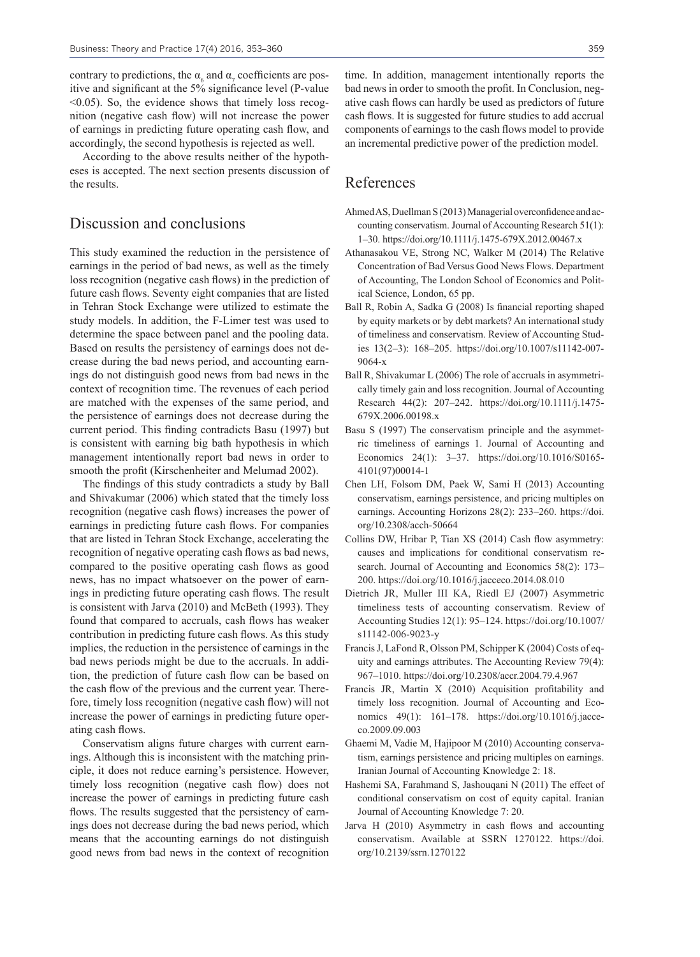contrary to predictions, the  $\alpha_{6}$  and  $\alpha_{7}$  coefficients are positive and significant at the 5% significance level (P-value  $\leq 0.05$ ). So, the evidence shows that timely loss recognition (negative cash flow) will not increase the power of earnings in predicting future operating cash flow, and accordingly, the second hypothesis is rejected as well.

According to the above results neither of the hypotheses is accepted. The next section presents discussion of the results.

#### Discussion and conclusions

This study examined the reduction in the persistence of earnings in the period of bad news, as well as the timely loss recognition (negative cash flows) in the prediction of future cash flows. Seventy eight companies that are listed in Tehran Stock Exchange were utilized to estimate the study models. In addition, the F-Limer test was used to determine the space between panel and the pooling data. Based on results the persistency of earnings does not decrease during the bad news period, and accounting earnings do not distinguish good news from bad news in the context of recognition time. The revenues of each period are matched with the expenses of the same period, and the persistence of earnings does not decrease during the current period. This finding contradicts Basu (1997) but is consistent with earning big bath hypothesis in which management intentionally report bad news in order to smooth the profit (Kirschenheiter and Melumad 2002).

The findings of this study contradicts a study by Ball and Shivakumar (2006) which stated that the timely loss recognition (negative cash flows) increases the power of earnings in predicting future cash flows. For companies that are listed in Tehran Stock Exchange, accelerating the recognition of negative operating cash flows as bad news, compared to the positive operating cash flows as good news, has no impact whatsoever on the power of earnings in predicting future operating cash flows. The result is consistent with Jarva (2010) and McBeth (1993). They found that compared to accruals, cash flows has weaker contribution in predicting future cash flows. As this study implies, the reduction in the persistence of earnings in the bad news periods might be due to the accruals. In addition, the prediction of future cash flow can be based on the cash flow of the previous and the current year. Therefore, timely loss recognition (negative cash flow) will not increase the power of earnings in predicting future operating cash flows.

Conservatism aligns future charges with current earnings. Although this is inconsistent with the matching principle, it does not reduce earning's persistence. However, timely loss recognition (negative cash flow) does not increase the power of earnings in predicting future cash flows. The results suggested that the persistency of earnings does not decrease during the bad news period, which means that the accounting earnings do not distinguish good news from bad news in the context of recognition time. In addition, management intentionally reports the bad news in order to smooth the profit. In Conclusion, negative cash flows can hardly be used as predictors of future cash flows. It is suggested for future studies to add accrual components of earnings to the cash flows model to provide an incremental predictive power of the prediction model.

#### References

- Ahmed AS, Duellman S (2013) Managerial overconfidence and accounting conservatism. Journal of Accounting Research 51(1): 1–30. https://doi.org/10.1111/j.1475-679X.2012.00467.x
- Athanasakou VE, Strong NC, Walker M (2014) The Relative Concentration of Bad Versus Good News Flows. Department of Accounting, The London School of Economics and Political Science, London, 65 pp.
- Ball R, Robin A, Sadka G (2008) Is financial reporting shaped by equity markets or by debt markets? An international study of timeliness and conservatism. Review of Accounting Studies 13(2–3): 168–205. https://doi.org/10.1007/s11142-007- 9064-x
- Ball R, Shivakumar L (2006) The role of accruals in asymmetrically timely gain and loss recognition. Journal of Accounting Research 44(2): 207–242. https://doi.org/10.1111/j.1475- 679X.2006.00198.x
- Basu S (1997) The conservatism principle and the asymmetric timeliness of earnings 1. Journal of Accounting and Economics 24(1): 3–37. https://doi.org/10.1016/S0165- 4101(97)00014-1
- Chen LH, Folsom DM, Paek W, Sami H (2013) Accounting conservatism, earnings persistence, and pricing multiples on earnings. Accounting Horizons 28(2): 233–260. https://doi. org/10.2308/acch-50664
- Collins DW, Hribar P, Tian XS (2014) Cash flow asymmetry: causes and implications for conditional conservatism research. Journal of Accounting and Economics 58(2): 173– 200. https://doi.org/10.1016/j.jacceco.2014.08.010
- Dietrich JR, Muller III KA, Riedl EJ (2007) Asymmetric timeliness tests of accounting conservatism. Review of Accounting Studies 12(1): 95–124. https://doi.org/10.1007/ s11142-006-9023-y
- Francis J, LaFond R, Olsson PM, Schipper K (2004) Costs of equity and earnings attributes. The Accounting Review 79(4): 967–1010. https://doi.org/10.2308/accr.2004.79.4.967
- Francis JR, Martin X (2010) Acquisition profitability and timely loss recognition. Journal of Accounting and Economics 49(1): 161–178. https://doi.org/10.1016/j.jacceco.2009.09.003
- Ghaemi M, Vadie M, Hajipoor M (2010) Accounting conservatism, earnings persistence and pricing multiples on earnings. Iranian Journal of Accounting Knowledge 2: 18.
- Hashemi SA, Farahmand S, Jashouqani N (2011) The effect of conditional conservatism on cost of equity capital. Iranian Journal of Accounting Knowledge 7: 20.
- Jarva H (2010) Asymmetry in cash flows and accounting conservatism. Available at SSRN 1270122. https://doi. org/10.2139/ssrn.1270122